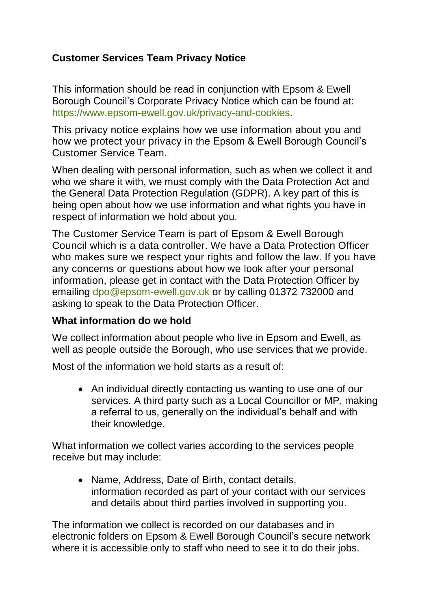# **Customer Services Team Privacy Notice**

This information should be read in conjunction with Epsom & Ewell Borough Council's Corporate Privacy Notice which can be found at: [https://www.epsom-ewell.gov.uk/privacy-and-cookies.](https://www.epsom-ewell.gov.uk/privacy-and-cookies)

This privacy notice explains how we use information about you and how we protect your privacy in the Epsom & Ewell Borough Council's Customer Service Team.

When dealing with personal information, such as when we collect it and who we share it with, we must comply with the Data Protection Act and the General Data Protection Regulation (GDPR). A key part of this is being open about how we use information and what rights you have in respect of information we hold about you.

The Customer Service Team is part of Epsom & Ewell Borough Council which is a data controller. We have a Data Protection Officer who makes sure we respect your rights and follow the law. If you have any concerns or questions about how we look after your personal information, please get in contact with the Data Protection Officer by emailing [dpo@epsom-ewell.gov.uk](mailto:dpo@epsom-ewell.gov.uk) or by calling 01372 732000 and asking to speak to the Data Protection Officer.

#### **What information do we hold**

We collect information about people who live in Epsom and Ewell, as well as people outside the Borough, who use services that we provide.

Most of the information we hold starts as a result of:

• An individual directly contacting us wanting to use one of our services. A third party such as a Local Councillor or MP, making a referral to us, generally on the individual's behalf and with their knowledge.

What information we collect varies according to the services people receive but may include:

• Name, Address, Date of Birth, contact details, information recorded as part of your contact with our services and details about third parties involved in supporting you.

The information we collect is recorded on our databases and in electronic folders on Epsom & Ewell Borough Council's secure network where it is accessible only to staff who need to see it to do their jobs.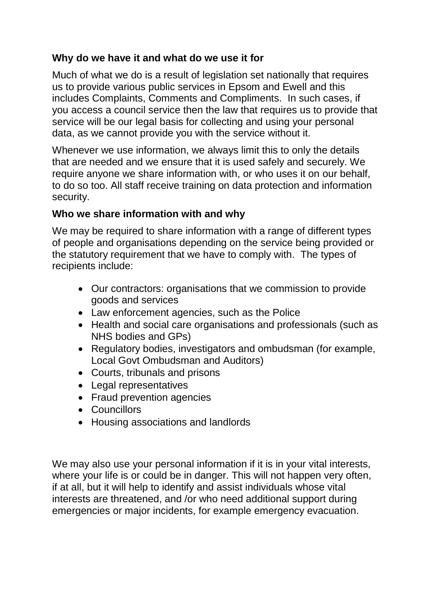# **Why do we have it and what do we use it for**

Much of what we do is a result of legislation set nationally that requires us to provide various public services in Epsom and Ewell and this includes Complaints, Comments and Compliments. In such cases, if you access a council service then the law that requires us to provide that service will be our legal basis for collecting and using your personal data, as we cannot provide you with the service without it.

Whenever we use information, we always limit this to only the details that are needed and we ensure that it is used safely and securely. We require anyone we share information with, or who uses it on our behalf, to do so too. All staff receive training on data protection and information security.

### **Who we share information with and why**

We may be required to share information with a range of different types of people and organisations depending on the service being provided or the statutory requirement that we have to comply with. The types of recipients include:

- Our contractors: organisations that we commission to provide goods and services
- Law enforcement agencies, such as the Police
- Health and social care organisations and professionals (such as NHS bodies and GPs)
- Regulatory bodies, investigators and ombudsman (for example, Local Govt Ombudsman and Auditors)
- Courts, tribunals and prisons
- Legal representatives
- Fraud prevention agencies
- Councillors
- Housing associations and landlords

We may also use your personal information if it is in your vital interests, where your life is or could be in danger. This will not happen very often, if at all, but it will help to identify and assist individuals whose vital interests are threatened, and /or who need additional support during emergencies or major incidents, for example emergency evacuation.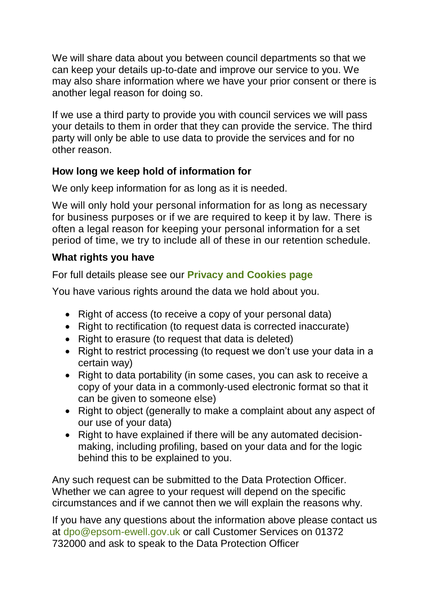We will share data about you between council departments so that we can keep your details up-to-date and improve our service to you. We may also share information where we have your prior consent or there is another legal reason for doing so.

If we use a third party to provide you with council services we will pass your details to them in order that they can provide the service. The third party will only be able to use data to provide the services and for no other reason.

# **How long we keep hold of information for**

We only keep information for as long as it is needed.

We will only hold your personal information for as long as necessary for business purposes or if we are required to keep it by law. There is often a legal reason for keeping your personal information for a set period of time, we try to include all of these in our retention schedule.

### **What rights you have**

For full details please see our **[Privacy and Cookies page](https://www.epsom-ewell.gov.uk/privacy-and-cookies)**

You have various rights around the data we hold about you.

- Right of access (to receive a copy of your personal data)
- Right to rectification (to request data is corrected inaccurate)
- Right to erasure (to request that data is deleted)
- Right to restrict processing (to request we don't use your data in a certain way)
- Right to data portability (in some cases, you can ask to receive a copy of your data in a commonly-used electronic format so that it can be given to someone else)
- Right to object (generally to make a complaint about any aspect of our use of your data)
- Right to have explained if there will be any automated decisionmaking, including profiling, based on your data and for the logic behind this to be explained to you.

Any such request can be submitted to the Data Protection Officer. Whether we can agree to your request will depend on the specific circumstances and if we cannot then we will explain the reasons why.

If you have any questions about the information above please contact us at [dpo@epsom-ewell.gov.uk](mailto:dpo@epsom-ewell.gov.uk) or call Customer Services on 01372 732000 and ask to speak to the Data Protection Officer